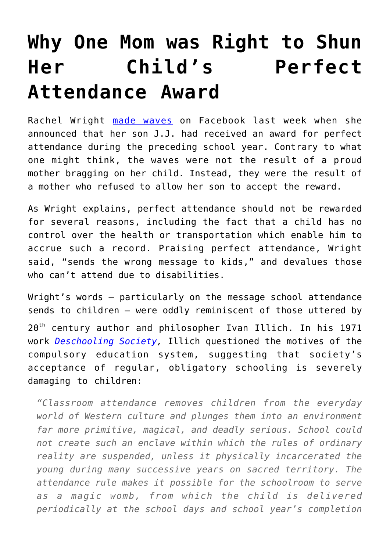## **[Why One Mom was Right to Shun](https://intellectualtakeout.org/2017/07/why-one-mom-was-right-to-shun-her-childs-perfect-attendance-award/) [Her Child's Perfect](https://intellectualtakeout.org/2017/07/why-one-mom-was-right-to-shun-her-childs-perfect-attendance-award/) [Attendance Award](https://intellectualtakeout.org/2017/07/why-one-mom-was-right-to-shun-her-childs-perfect-attendance-award/)**

Rachel Wright [made waves](http://www.huffingtonpost.com/entry/why-this-mom-wont-let-her-son-accept-a-perfect-attendance-award_us_595e4242e4b0d5b458e882f6) on Facebook last week when she announced that her son J.J. had received an award for perfect attendance during the preceding school year. Contrary to what one might think, the waves were not the result of a proud mother bragging on her child. Instead, they were the result of a mother who refused to allow her son to accept the reward.

As Wright explains, perfect attendance should not be rewarded for several reasons, including the fact that a child has no control over the health or transportation which enable him to accrue such a record. Praising perfect attendance, Wright said, "sends the wrong message to kids," and devalues those who can't attend due to disabilities.

Wright's words – particularly on the message school attendance sends to children – were oddly reminiscent of those uttered by 20<sup>th</sup> century author and philosopher Ivan Illich. In his 1971 work *[Deschooling Society,](https://www.amazon.com/gp/product/0714508799/ref=as_li_qf_sp_asin_il_tl?ie=UTF8&tag=intelltakeo0d-20&camp=1789&creative=9325&linkCode=as2&creativeASIN=0714508799&linkId=831e01a6d80c8c8af599fa92a849d109)* Illich questioned the motives of the compulsory education system, suggesting that society's acceptance of regular, obligatory schooling is severely damaging to children:

*"Classroom attendance removes children from the everyday world of Western culture and plunges them into an environment far more primitive, magical, and deadly serious. School could not create such an enclave within which the rules of ordinary reality are suspended, unless it physically incarcerated the young during many successive years on sacred territory. The attendance rule makes it possible for the schoolroom to serve as a magic womb, from which the child is delivered periodically at the school days and school year's completion*